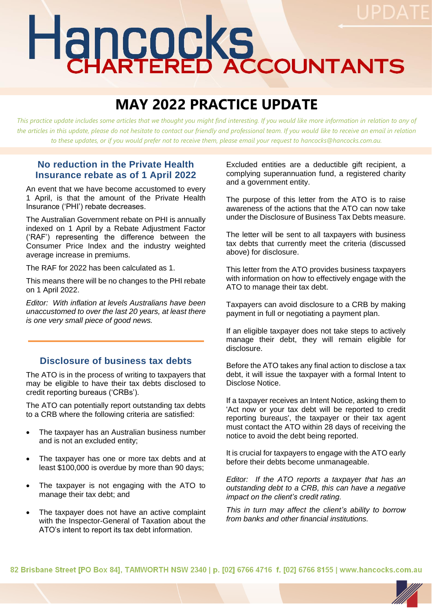# Hancocks

# **MAY 2022 PRACTICE UPDATE**

*This practice update includes some articles that we thought you might find interesting. If you would like more information in relation to any of*  the articles in this update, please do not hesitate to contact our friendly and professional team. If you would like to receive an email in relation *to these updates, or if you would prefer not to receive them, please email your request to hancocks@hancocks.com.au.* 

# **No reduction in the Private Health Insurance rebate as of 1 April 2022**

An event that we have become accustomed to every 1 April, is that the amount of the Private Health Insurance ('PHI') rebate decreases.

The Australian Government rebate on PHI is annually indexed on 1 April by a Rebate Adjustment Factor ('RAF') representing the difference between the Consumer Price Index and the industry weighted average increase in premiums.

The RAF for 2022 has been calculated as 1.

This means there will be no changes to the PHI rebate on 1 April 2022.

*Editor: With inflation at levels Australians have been unaccustomed to over the last 20 years, at least there is one very small piece of good news.* 

# **Disclosure of business tax debts**

The ATO is in the process of writing to taxpayers that may be eligible to have their tax debts disclosed to credit reporting bureaus ('CRBs').

The ATO can potentially report outstanding tax debts to a CRB where the following criteria are satisfied:

- The taxpayer has an Australian business number and is not an excluded entity;
- The taxpayer has one or more tax debts and at least \$100,000 is overdue by more than 90 days;
- The taxpayer is not engaging with the ATO to manage their tax debt; and
- The taxpayer does not have an active complaint with the Inspector-General of Taxation about the ATO's intent to report its tax debt information.

Excluded entities are a deductible gift recipient, a complying superannuation fund, a registered charity and a government entity.

The purpose of this letter from the ATO is to raise awareness of the actions that the ATO can now take under the Disclosure of Business Tax Debts measure.

The letter will be sent to all taxpayers with business tax debts that currently meet the criteria (discussed above) for disclosure.

This letter from the ATO provides business taxpayers with information on how to effectively engage with the ATO to manage their tax debt.

Taxpayers can avoid disclosure to a CRB by making payment in full or negotiating a payment plan.

If an eligible taxpayer does not take steps to actively manage their debt, they will remain eligible for disclosure.

Before the ATO takes any final action to disclose a tax debt, it will issue the taxpayer with a formal Intent to Disclose Notice.

If a taxpayer receives an Intent Notice, asking them to 'Act now or your tax debt will be reported to credit reporting bureaus', the taxpayer or their tax agent must contact the ATO within 28 days of receiving the notice to avoid the debt being reported.

It is crucial for taxpayers to engage with the ATO early before their debts become unmanageable.

*Editor: If the ATO reports a taxpayer that has an outstanding debt to a CRB, this can have a negative impact on the client's credit rating.* 

*This in turn may affect the client's ability to borrow from banks and other financial institutions.* 

82 Brisbane Street [PO Box 84], TAMWORTH NSW 2340 | p. [02] 6766 4716 f. [02] 6766 8155 | www.hancocks.com.au